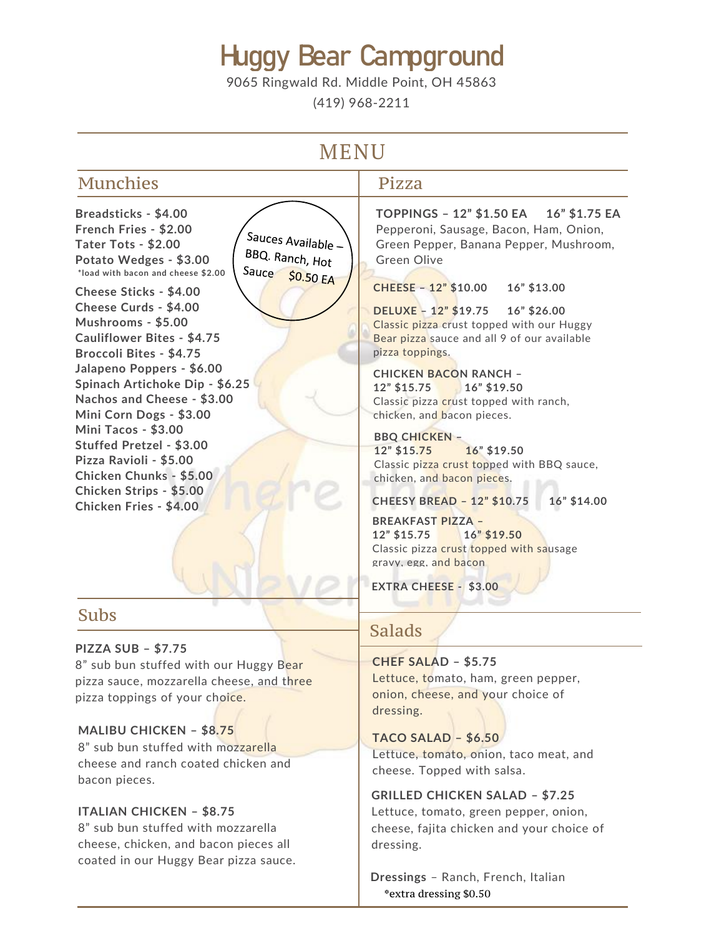# Huggy Bear Campground

9065 Ringwald Rd. Middle Point, OH 45863

(419) 968-2211

# **MENU**

Munchies Pizza **Breadsticks - \$4.00 French Fries - \$2.00** Sauces Available -**Tater Tots - \$2.00** BBQ. Ranch, Hot **Potato Wedges - \$3.00** Green Olive Sauce \$0.50 EA **\*load with bacon and cheese \$2.00 CHEESE – 12" \$10.00 16" \$13.00 Cheese Sticks - \$4.00 Cheese Curds - \$4.00 DELUXE – 12" \$19.75 16" \$26.00 Mushrooms - \$5.00 Cauliflower Bites - \$4.75 Broccoli Bites - \$4.75** pizza toppings. **Jalapeno Poppers - \$6.00 CHICKEN BACON RANCH – Spinach Artichoke Dip - \$6.25 12" \$15.75 16" \$19.50 Nachos and Cheese - \$3.00** Classic pizza crust topped with ranch, **Mini Corn Dogs - \$3.00** chicken, and bacon pieces. **Mini Tacos - \$3.00 BBQ CHICKEN – Stuffed Pretzel - \$3.00 12" \$15.75 16" \$19.50 Pizza Ravioli - \$5.00 Chicken Chunks - \$5.00** chicken, and bacon pieces. **Chicken Strips - \$5.00 CHEESY BREAD – 12" \$10.75 16" \$14.00 Chicken Fries - \$4.00 BREAKFAST PIZZA – 12" \$15.75 16" \$19.50**

## Subs

### **PIZZA SUB – \$7.75**

8" sub bun stuffed with our Huggy Bear pizza sauce, mozzarella cheese, and three pizza toppings of your choice.

### **MALIBU CHICKEN – \$8.75**

8" sub bun stuffed with mozzarella cheese and ranch coated chicken and bacon pieces.

### **ITALIAN CHICKEN – \$8.75**

8" sub bun stuffed with mozzarella cheese, chicken, and bacon pieces all coated in our Huggy Bear pizza sauce.

**TOPPINGS – 12" \$1.50 EA 16" \$1.75 EA** Pepperoni, Sausage, Bacon, Ham, Onion, Green Pepper, Banana Pepper, Mushroom,

Classic pizza crust topped with our Huggy Bear pizza sauce and all 9 of our available

Classic pizza crust topped with BBQ sauce,

Classic pizza crust topped with sausage gravy, egg, and bacon

. **EXTRA CHEESE - \$3.00**

## Salads

**CHEF SALAD – \$5.75** Lettuce, tomato, ham, green pepper, onion, cheese, and your choice of dressing.

**TACO SALAD – \$6.50** Lettuce, tomato, onion, taco meat, and cheese. Topped with salsa.

### **GRILLED CHICKEN SALAD – \$7.25**

Lettuce, tomato, green pepper, onion, cheese, fajita chicken and your choice of dressing.

**Dressings** – Ranch, French, Italian \*extra dressing \$0.50